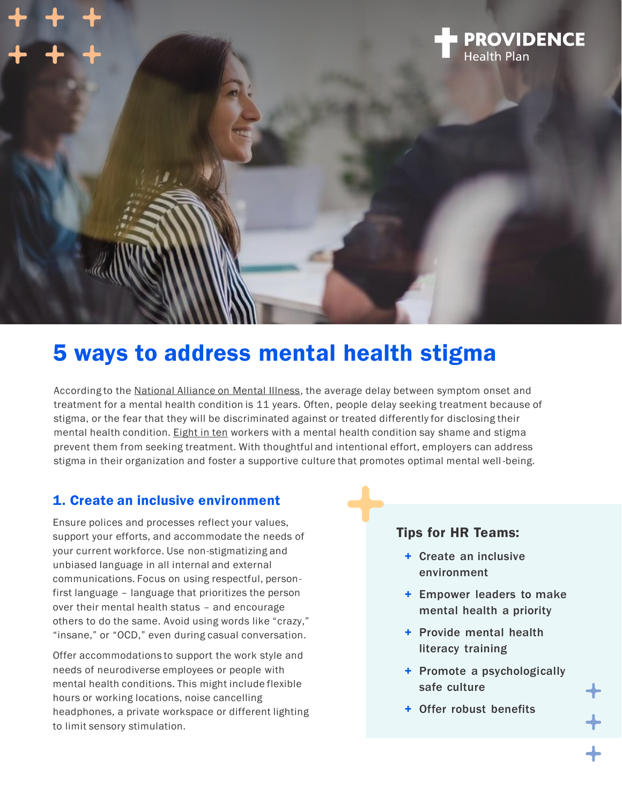

# 5 ways to address mental health stigma

According to the [National Alliance on Mental Illness,](https://www.nami.org/NAMI/media/NAMI-Media/Infographics/NAMI_MentalHealthCareMatters_2020_FINAL.pdf) the average delay between symptom onset and treatment for a mental health condition is 11 years. Often, people delay seeking treatment because of stigma, or the fear that they will be discriminated against or treated differently for disclosing their mental health condition. [Eight in ten](https://www.nami.org/Get-Involved/Pledge-to-Be-StigmaFree/StigmaFree-Company#:~:text=Eight%20in%20ten%20workers%20say,in%20lost%20earnings%20each%20year.) workers with a mental health condition say shame and stigma prevent them from seeking treatment. With thoughtful and intentional effort, employers can address stigma in their organization and foster a supportive culture that promotes optimal mental well -being.

#### 1. Create an inclusive environment

Ensure polices and processes reflect your values, support your efforts, and accommodate the needs of your current workforce. Use non-stigmatizing and unbiased language in all internal and external communications. Focus on using respectful, personfirst language – language that prioritizes the person over their mental health status – and encourage others to do the same. Avoid using words like "crazy," "insane," or "OCD," even during casual conversation.

Offer accommodations to support the work style and needs of neurodiverse employees or people with mental health conditions. This might include flexible hours or working locations, noise cancelling headphones, a private workspace or different lighting to limit sensory stimulation.

#### Tips for HR Teams:

- + Create an inclusive environment
- + Empower leaders to make mental health a priority
- + Provide mental health literacy training
- + Promote a psychologically safe culture
- + Offer robust benefits